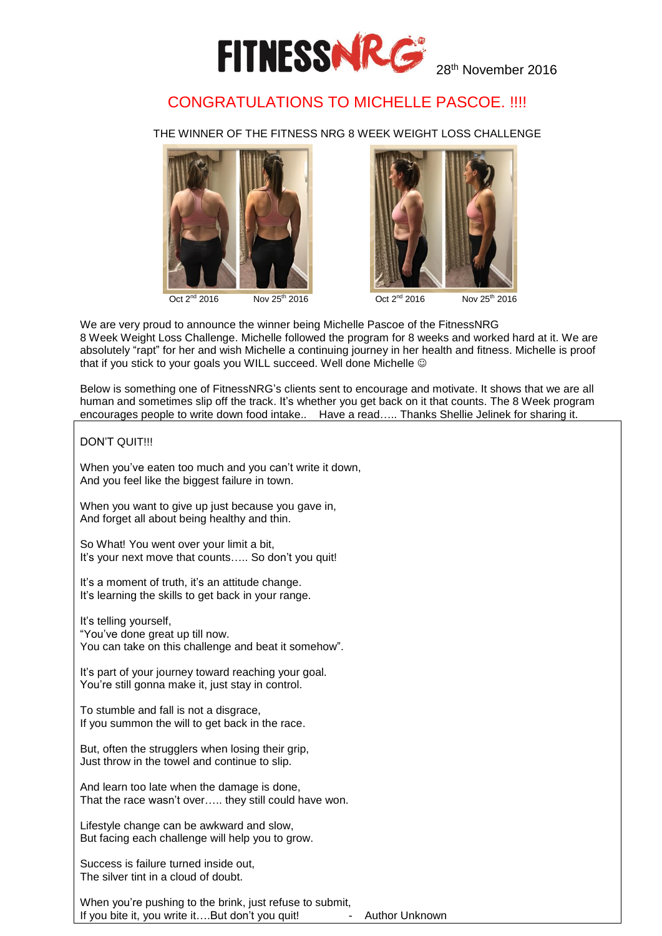

## CONGRATULATIONS TO MICHELLE PASCOE. !!!!

THE WINNER OF THE FITNESS NRG 8 WEEK WEIGHT LOSS CHALLENGE





Oct 2<sup>nd</sup> 2016 Nov 25<sup>th</sup> 2016 <br>Cort 2<sup>nd</sup> 2016 Nov 25<sup>th</sup> 2016

We are very proud to announce the winner being Michelle Pascoe of the FitnessNRG 8 Week Weight Loss Challenge. Michelle followed the program for 8 weeks and worked hard at it. We are absolutely "rapt" for her and wish Michelle a continuing journey in her health and fitness. Michelle is proof that if you stick to your goals you WILL succeed. Well done Michelle  $\circledcirc$ 

Below is something one of FitnessNRG's clients sent to encourage and motivate. It shows that we are all human and sometimes slip off the track. It's whether you get back on it that counts. The 8 Week program encourages people to write down food intake.. Have a read….. Thanks Shellie Jelinek for sharing it.

#### DON'T QUIT!!!

When you've eaten too much and you can't write it down, And you feel like the biggest failure in town.

When you want to give up just because you gave in, And forget all about being healthy and thin.

So What! You went over your limit a bit, It's your next move that counts….. So don't you quit!

It's a moment of truth, it's an attitude change. It's learning the skills to get back in your range.

It's telling yourself, "You've done great up till now. You can take on this challenge and beat it somehow".

It's part of your journey toward reaching your goal. You're still gonna make it, just stay in control.

To stumble and fall is not a disgrace, If you summon the will to get back in the race.

But, often the strugglers when losing their grip, Just throw in the towel and continue to slip.

And learn too late when the damage is done, That the race wasn't over….. they still could have won.

Lifestyle change can be awkward and slow, But facing each challenge will help you to grow.

Success is failure turned inside out, The silver tint in a cloud of doubt.

When you're pushing to the brink, just refuse to submit, If you bite it, you write it....But don't you quit! - Author Unknown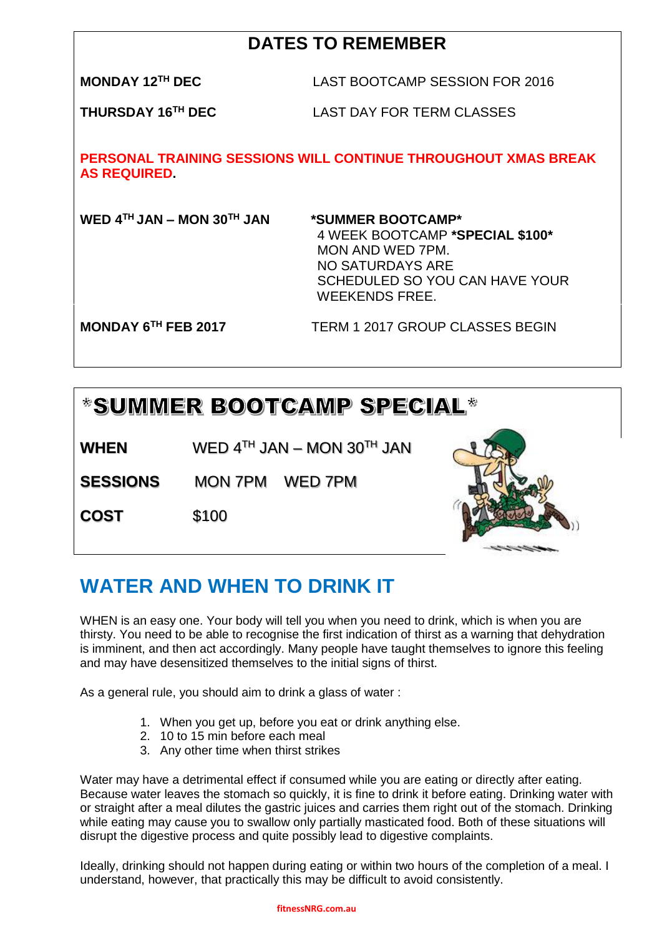## **DATES TO REMEMBER**

**MONDAY 12TH DEC** LAST BOOTCAMP SESSION FOR 2016

**THURSDAY 16TH DEC** LAST DAY FOR TERM CLASSES

**PERSONAL TRAINING SESSIONS WILL CONTINUE THROUGHOUT XMAS BREAK AS REQUIRED.** 

**WED 4TH JAN – MON 30TH JAN \*SUMMER BOOTCAMP\*** 

4 WEEK BOOTCAMP **\*SPECIAL \$100\*** MON AND WED 7PM. NO SATURDAYS ARE SCHEDULED SO YOU CAN HAVE YOUR WEEKENDS FREE.

**MONDAY 6TH FEB 2017** TERM 1 2017 GROUP CLASSES BEGIN

# \*SUMMER BOOTCAMP SPECIAL\*

**WHEN** WED  $4^{TH}$  JAN – MON  $30^{TH}$  JAN

**SESSIONS** MON 7PM WED 7PM

**COST** \$100



## **WATER AND WHEN TO DRINK IT**

WHEN is an easy one. Your body will tell you when you need to drink, which is when you are thirsty. You need to be able to recognise the first indication of thirst as a warning that dehydration is imminent, and then act accordingly. Many people have taught themselves to ignore this feeling and may have desensitized themselves to the initial signs of thirst.

As a general rule, you should aim to drink a glass of water :

- 1. When you get up, before you eat or drink anything else.
- 2. 10 to 15 min before each meal
- 3. Any other time when thirst strikes

Water may have a detrimental effect if consumed while you are eating or directly after eating. Because water leaves the stomach so quickly, it is fine to drink it before eating. Drinking water with or straight after a meal dilutes the gastric juices and carries them right out of the stomach. Drinking while eating may cause you to swallow only partially masticated food. Both of these situations will disrupt the digestive process and quite possibly lead to digestive complaints.

Ideally, drinking should not happen during eating or within two hours of the completion of a meal. I understand, however, that practically this may be difficult to avoid consistently.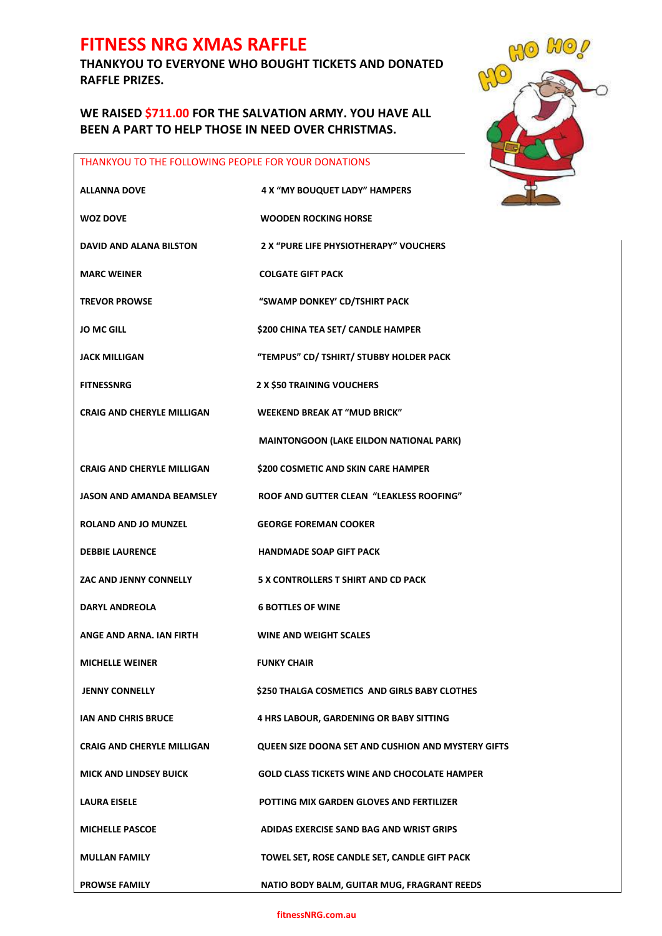## **FITNESS NRG XMAS RAFFLE**

**THANKYOU TO EVERYONE WHO BOUGHT TICKETS AND DONATED RAFFLE PRIZES.**

**WE RAISED \$711.00 FOR THE SALVATION ARMY. YOU HAVE ALL BEEN A PART TO HELP THOSE IN NEED OVER CHRISTMAS.**

# NO  $L''(0)$ COO

#### THANKYOU TO THE FOLLOWING PEOPLE FOR YOUR DONATIONS

| <b>ALLANNA DOVE</b>               | 4 X "MY BOUQUET LADY" HAMPERS                       |
|-----------------------------------|-----------------------------------------------------|
| <b>WOZ DOVE</b>                   | <b>WOODEN ROCKING HORSE</b>                         |
| <b>DAVID AND ALANA BILSTON</b>    | 2 X "PURE LIFE PHYSIOTHERAPY" VOUCHERS              |
| <b>MARC WEINER</b>                | <b>COLGATE GIFT PACK</b>                            |
| <b>TREVOR PROWSE</b>              | "SWAMP DONKEY' CD/TSHIRT PACK                       |
| <b>JO MC GILL</b>                 | \$200 CHINA TEA SET/ CANDLE HAMPER                  |
| <b>JACK MILLIGAN</b>              | "TEMPUS" CD/ TSHIRT/ STUBBY HOLDER PACK             |
| <b>FITNESSNRG</b>                 | 2 X \$50 TRAINING VOUCHERS                          |
| <b>CRAIG AND CHERYLE MILLIGAN</b> | <b>WEEKEND BREAK AT "MUD BRICK"</b>                 |
|                                   | MAINTONGOON (LAKE EILDON NATIONAL PARK)             |
| <b>CRAIG AND CHERYLE MILLIGAN</b> | \$200 COSMETIC AND SKIN CARE HAMPER                 |
| <b>JASON AND AMANDA BEAMSLEY</b>  | ROOF AND GUTTER CLEAN "LEAKLESS ROOFING"            |
| <b>ROLAND AND JO MUNZEL</b>       | <b>GEORGE FOREMAN COOKER</b>                        |
| <b>DEBBIE LAURENCE</b>            | <b>HANDMADE SOAP GIFT PACK</b>                      |
| ZAC AND JENNY CONNELLY            | 5 X CONTROLLERS T SHIRT AND CD PACK                 |
| <b>DARYL ANDREOLA</b>             | <b>6 BOTTLES OF WINE</b>                            |
| ANGE AND ARNA. IAN FIRTH          | <b>WINE AND WEIGHT SCALES</b>                       |
| <b>MICHELLE WEINER</b>            | <b>FUNKY CHAIR</b>                                  |
| <b>JENNY CONNELLY</b>             | \$250 THALGA COSMETICS AND GIRLS BABY CLOTHES       |
| <b>IAN AND CHRIS BRUCE</b>        | 4 HRS LABOUR, GARDENING OR BABY SITTING             |
| <b>CRAIG AND CHERYLE MILLIGAN</b> | QUEEN SIZE DOONA SET AND CUSHION AND MYSTERY GIFTS  |
| <b>MICK AND LINDSEY BUICK</b>     | <b>GOLD CLASS TICKETS WINE AND CHOCOLATE HAMPER</b> |
| <b>LAURA EISELE</b>               | POTTING MIX GARDEN GLOVES AND FERTILIZER            |
| <b>MICHELLE PASCOE</b>            | ADIDAS EXERCISE SAND BAG AND WRIST GRIPS            |
| <b>MULLAN FAMILY</b>              | TOWEL SET, ROSE CANDLE SET, CANDLE GIFT PACK        |
| <b>PROWSE FAMILY</b>              | NATIO BODY BALM, GUITAR MUG, FRAGRANT REEDS         |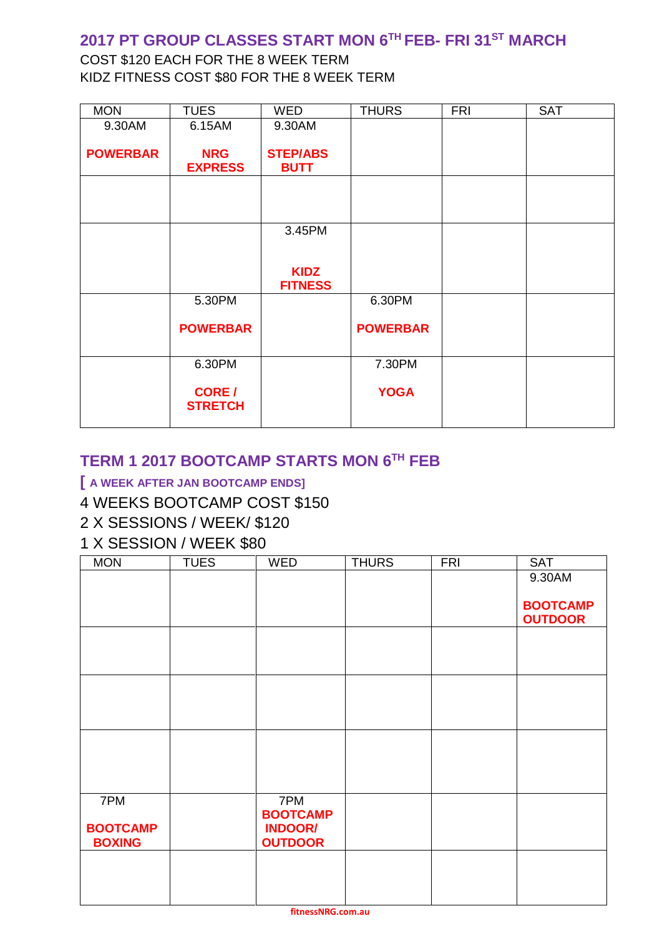## **2017 PT GROUP CLASSES START MON 6TH FEB- FRI 31ST MARCH**

## COST \$120 EACH FOR THE 8 WEEK TERM KIDZ FITNESS COST \$80 FOR THE 8 WEEK TERM

| <b>MON</b>      | <b>TUES</b>                     | <b>WED</b>                    | <b>THURS</b>    | <b>FRI</b> | <b>SAT</b> |
|-----------------|---------------------------------|-------------------------------|-----------------|------------|------------|
| 9.30AM          | 6.15AM                          | 9.30AM                        |                 |            |            |
|                 |                                 |                               |                 |            |            |
| <b>POWERBAR</b> | <b>NRG</b>                      | <b>STEP/ABS</b>               |                 |            |            |
|                 | <b>EXPRESS</b>                  | <b>BUTT</b>                   |                 |            |            |
|                 |                                 |                               |                 |            |            |
|                 |                                 |                               |                 |            |            |
|                 |                                 |                               |                 |            |            |
|                 |                                 | 3.45PM                        |                 |            |            |
|                 |                                 |                               |                 |            |            |
|                 |                                 |                               |                 |            |            |
|                 |                                 | <b>KIDZ</b><br><b>FITNESS</b> |                 |            |            |
|                 | 5.30PM                          |                               | 6.30PM          |            |            |
|                 | <b>POWERBAR</b>                 |                               | <b>POWERBAR</b> |            |            |
|                 | 6.30PM                          |                               | 7.30PM          |            |            |
|                 | <b>CORE</b> /<br><b>STRETCH</b> |                               | <b>YOGA</b>     |            |            |

## **TERM 1 2017 BOOTCAMP STARTS MON 6 TH FEB**

#### **[ A WEEK AFTER JAN BOOTCAMP ENDS]**

#### 4 WEEKS BOOTCAMP COST \$150

## 2 X SESSIONS / WEEK/ \$120

## 1 X SESSION / WEEK \$80

| <b>MON</b>      | <b>TUES</b> | <b>WED</b>             | <b>THURS</b> | <b>FRI</b> | <b>SAT</b>                        |
|-----------------|-------------|------------------------|--------------|------------|-----------------------------------|
|                 |             |                        |              |            | 9.30AM                            |
|                 |             |                        |              |            |                                   |
|                 |             |                        |              |            | <b>BOOTCAMP</b><br><b>OUTDOOR</b> |
|                 |             |                        |              |            |                                   |
|                 |             |                        |              |            |                                   |
|                 |             |                        |              |            |                                   |
|                 |             |                        |              |            |                                   |
|                 |             |                        |              |            |                                   |
|                 |             |                        |              |            |                                   |
|                 |             |                        |              |            |                                   |
|                 |             |                        |              |            |                                   |
|                 |             |                        |              |            |                                   |
|                 |             |                        |              |            |                                   |
| 7PM             |             | 7PM<br><b>BOOTCAMP</b> |              |            |                                   |
| <b>BOOTCAMP</b> |             | <b>INDOOR/</b>         |              |            |                                   |
| <b>BOXING</b>   |             | <b>OUTDOOR</b>         |              |            |                                   |
|                 |             |                        |              |            |                                   |
|                 |             |                        |              |            |                                   |
|                 |             |                        |              |            |                                   |